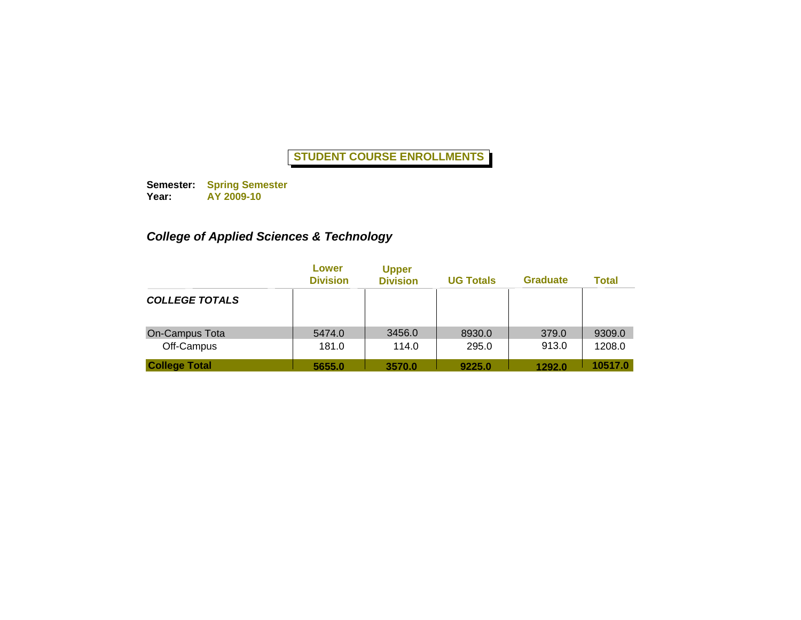**Semester: Year: Spring Semester AY 2009-10**

# *College of Applied Sciences & Technology*

|                              | Lower<br><b>Division</b> | <b>Upper</b><br><b>Division</b> | <b>UG Totals</b> | <b>Graduate</b> | <b>Total</b>     |
|------------------------------|--------------------------|---------------------------------|------------------|-----------------|------------------|
| <b>COLLEGE TOTALS</b>        |                          |                                 |                  |                 |                  |
| On-Campus Tota<br>Off-Campus | 5474.0<br>181.0          | 3456.0<br>114.0                 | 8930.0<br>295.0  | 379.0<br>913.0  | 9309.0<br>1208.0 |
| <b>College Total</b>         | 5655.0                   | 3570.0                          | 9225.0           | 1292.0          | 10517.0          |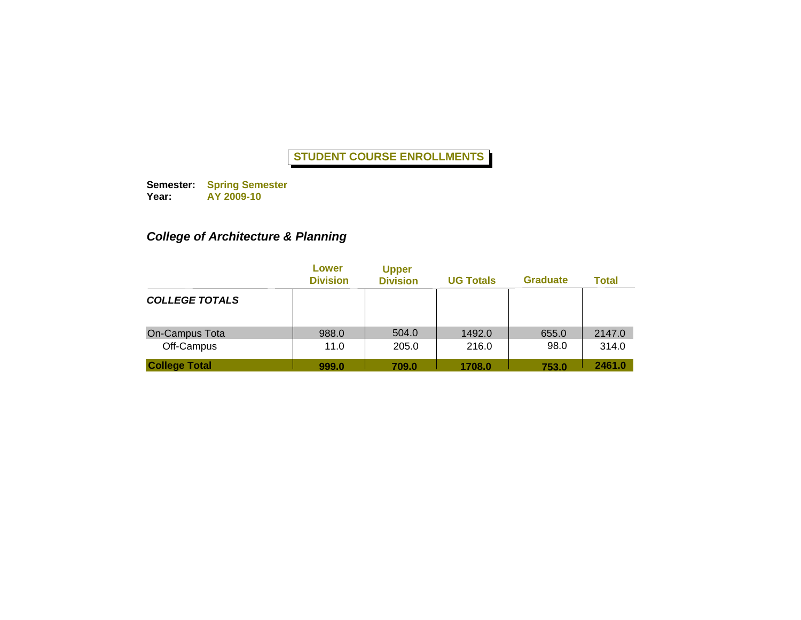**Semester: Year: Spring Semester AY 2009-10**

# *College of Architecture & Planning*

|                              | Lower<br><b>Division</b> | <b>Upper</b><br><b>Division</b> | <b>UG Totals</b> | <b>Graduate</b> | <b>Total</b>    |
|------------------------------|--------------------------|---------------------------------|------------------|-----------------|-----------------|
| <b>COLLEGE TOTALS</b>        |                          |                                 |                  |                 |                 |
| On-Campus Tota<br>Off-Campus | 988.0<br>11.0            | 504.0<br>205.0                  | 1492.0<br>216.0  | 655.0<br>98.0   | 2147.0<br>314.0 |
| <b>College Total</b>         | 999.0                    | 709.0                           | 1708.0           | 753.0           | 2461.0          |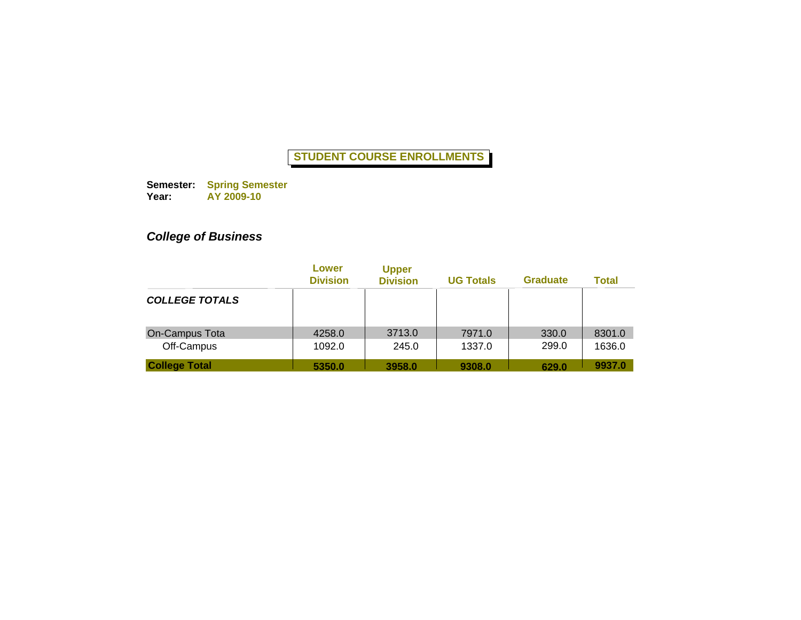**Semester: Year: Spring Semester AY 2009-10**

# *College of Business*

|                                    | Lower<br><b>Division</b> | <b>Upper</b><br><b>Division</b> | <b>UG Totals</b> | <b>Graduate</b> | <b>Total</b>     |
|------------------------------------|--------------------------|---------------------------------|------------------|-----------------|------------------|
| <b>COLLEGE TOTALS</b>              |                          |                                 |                  |                 |                  |
| On-Campus Tota                     | 4258.0                   | 3713.0                          | 7971.0           | 330.0           | 8301.0           |
| Off-Campus<br><b>College Total</b> | 1092.0<br>5350.0         | 245.0<br>3958.0                 | 1337.0<br>9308.0 | 299.0<br>629.0  | 1636.0<br>9937.0 |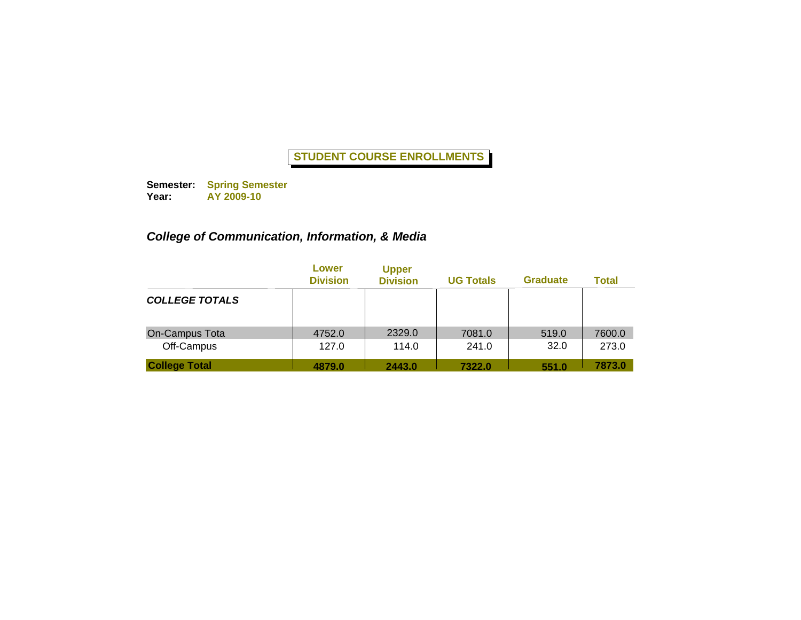**Semester: Year: Spring Semester AY 2009-10**

### *College of Communication, Information, & Media*

|                              | Lower<br><b>Division</b> | <b>Upper</b><br><b>Division</b> | <b>UG Totals</b> | <b>Graduate</b> | <b>Total</b>    |
|------------------------------|--------------------------|---------------------------------|------------------|-----------------|-----------------|
| <b>COLLEGE TOTALS</b>        |                          |                                 |                  |                 |                 |
| On-Campus Tota<br>Off-Campus | 4752.0<br>127.0          | 2329.0<br>114.0                 | 7081.0<br>241.0  | 519.0<br>32.0   | 7600.0<br>273.0 |
| <b>College Total</b>         | 4879.0                   | 2443.0                          | 7322.0           | 551.0           | 7873.0          |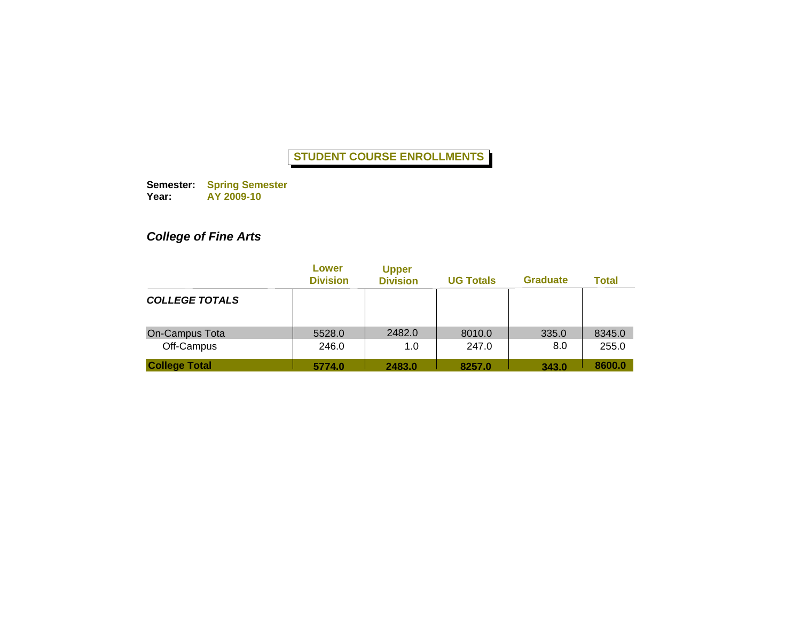**Semester: Year: Spring Semester AY 2009-10**

# *College of Fine Arts*

|                                    | Lower<br><b>Division</b> | <b>Upper</b><br><b>Division</b> | <b>UG Totals</b> | <b>Graduate</b> | <b>Total</b>    |
|------------------------------------|--------------------------|---------------------------------|------------------|-----------------|-----------------|
| <b>COLLEGE TOTALS</b>              |                          |                                 |                  |                 |                 |
| On-Campus Tota                     | 5528.0                   | 2482.0                          | 8010.0           | 335.0           | 8345.0          |
| Off-Campus<br><b>College Total</b> | 246.0<br>5774.0          | 1.0<br>2483.0                   | 247.0<br>8257.0  | 8.0<br>343.0    | 255.0<br>8600.0 |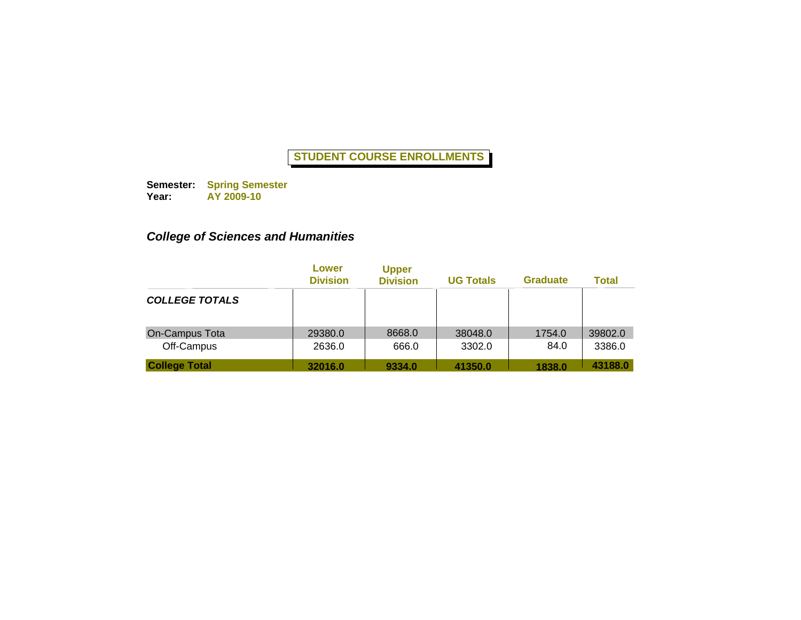**Semester: Year: Spring Semester AY 2009-10**

# *College of Sciences and Humanities*

|                              | Lower<br><b>Division</b> | <b>Upper</b><br><b>Division</b> | <b>UG Totals</b>  | <b>Graduate</b> | <b>Total</b>      |
|------------------------------|--------------------------|---------------------------------|-------------------|-----------------|-------------------|
| <b>COLLEGE TOTALS</b>        |                          |                                 |                   |                 |                   |
| On-Campus Tota<br>Off-Campus | 29380.0<br>2636.0        | 8668.0<br>666.0                 | 38048.0<br>3302.0 | 1754.0<br>84.0  | 39802.0<br>3386.0 |
| <b>College Total</b>         | 32016.0                  | 9334.0                          | 41350.0           | 1838.0          | 43188.0           |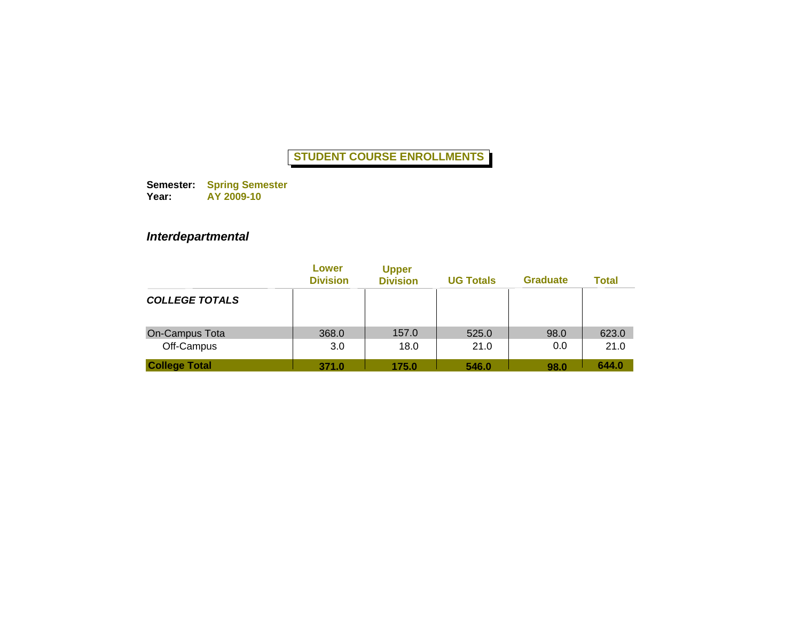**Semester: Year: Spring Semester AY 2009-10**

# *Interdepartmental*

|                              | Lower<br><b>Division</b> | <b>Upper</b><br><b>Division</b> | <b>UG Totals</b> | <b>Graduate</b> | <b>Total</b>  |
|------------------------------|--------------------------|---------------------------------|------------------|-----------------|---------------|
| <b>COLLEGE TOTALS</b>        |                          |                                 |                  |                 |               |
| On-Campus Tota<br>Off-Campus | 368.0<br>3.0             | 157.0<br>18.0                   | 525.0<br>21.0    | 98.0<br>0.0     | 623.0<br>21.0 |
| <b>College Total</b>         | 371.0                    | 175.0                           | 546.0            | 98.0            | 644.0         |